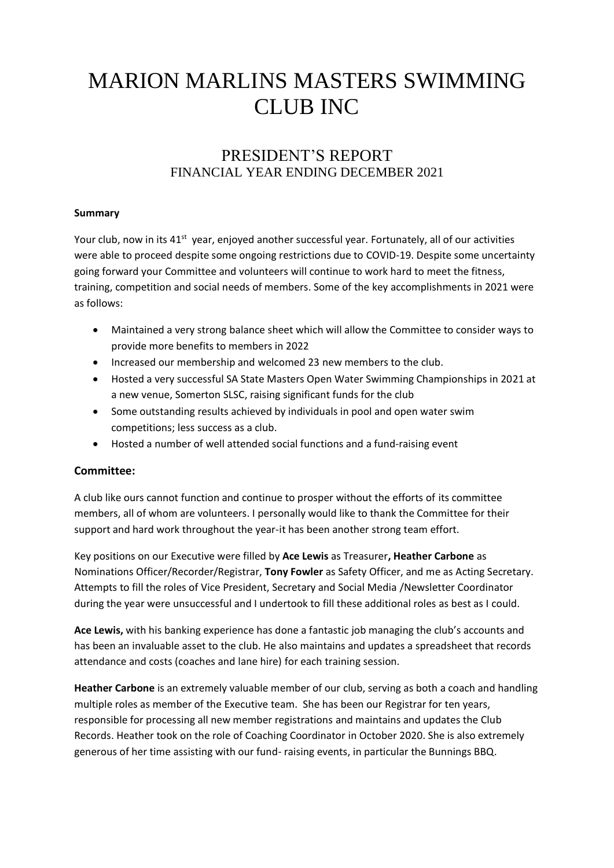# MARION MARLINS MASTERS SWIMMING CLUB INC

# PRESIDENT'S REPORT FINANCIAL YEAR ENDING DECEMBER 2021

#### **Summary**

Your club, now in its 41<sup>st</sup> year, enjoyed another successful year. Fortunately, all of our activities were able to proceed despite some ongoing restrictions due to COVID-19. Despite some uncertainty going forward your Committee and volunteers will continue to work hard to meet the fitness, training, competition and social needs of members. Some of the key accomplishments in 2021 were as follows:

- Maintained a very strong balance sheet which will allow the Committee to consider ways to provide more benefits to members in 2022
- Increased our membership and welcomed 23 new members to the club.
- Hosted a very successful SA State Masters Open Water Swimming Championships in 2021 at a new venue, Somerton SLSC, raising significant funds for the club
- Some outstanding results achieved by individuals in pool and open water swim competitions; less success as a club.
- Hosted a number of well attended social functions and a fund-raising event

#### **Committee:**

A club like ours cannot function and continue to prosper without the efforts of its committee members, all of whom are volunteers. I personally would like to thank the Committee for their support and hard work throughout the year-it has been another strong team effort.

Key positions on our Executive were filled by **Ace Lewis** as Treasurer**, Heather Carbone** as Nominations Officer/Recorder/Registrar, **Tony Fowler** as Safety Officer, and me as Acting Secretary. Attempts to fill the roles of Vice President, Secretary and Social Media /Newsletter Coordinator during the year were unsuccessful and I undertook to fill these additional roles as best as I could.

**Ace Lewis,** with his banking experience has done a fantastic job managing the club's accounts and has been an invaluable asset to the club. He also maintains and updates a spreadsheet that records attendance and costs (coaches and lane hire) for each training session.

**Heather Carbone** is an extremely valuable member of our club, serving as both a coach and handling multiple roles as member of the Executive team. She has been our Registrar for ten years, responsible for processing all new member registrations and maintains and updates the Club Records. Heather took on the role of Coaching Coordinator in October 2020. She is also extremely generous of her time assisting with our fund- raising events, in particular the Bunnings BBQ.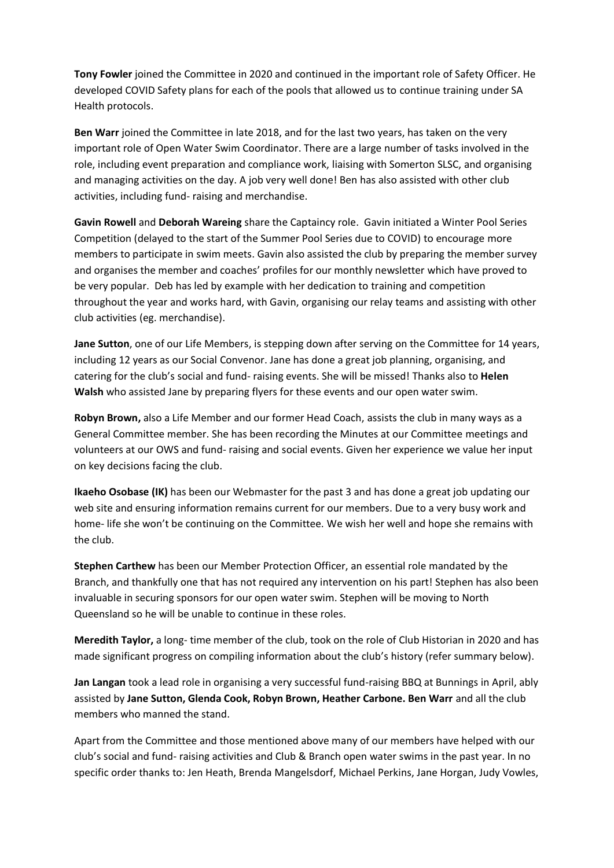**Tony Fowler** joined the Committee in 2020 and continued in the important role of Safety Officer. He developed COVID Safety plans for each of the pools that allowed us to continue training under SA Health protocols.

**Ben Warr** joined the Committee in late 2018, and for the last two years, has taken on the very important role of Open Water Swim Coordinator. There are a large number of tasks involved in the role, including event preparation and compliance work, liaising with Somerton SLSC, and organising and managing activities on the day. A job very well done! Ben has also assisted with other club activities, including fund- raising and merchandise.

**Gavin Rowell** and **Deborah Wareing** share the Captaincy role. Gavin initiated a Winter Pool Series Competition (delayed to the start of the Summer Pool Series due to COVID) to encourage more members to participate in swim meets. Gavin also assisted the club by preparing the member survey and organises the member and coaches' profiles for our monthly newsletter which have proved to be very popular. Deb has led by example with her dedication to training and competition throughout the year and works hard, with Gavin, organising our relay teams and assisting with other club activities (eg. merchandise).

**Jane Sutton**, one of our Life Members, is stepping down after serving on the Committee for 14 years, including 12 years as our Social Convenor. Jane has done a great job planning, organising, and catering for the club's social and fund- raising events. She will be missed! Thanks also to **Helen Walsh** who assisted Jane by preparing flyers for these events and our open water swim.

**Robyn Brown,** also a Life Member and our former Head Coach, assists the club in many ways as a General Committee member. She has been recording the Minutes at our Committee meetings and volunteers at our OWS and fund- raising and social events. Given her experience we value her input on key decisions facing the club.

**Ikaeho Osobase (IK)** has been our Webmaster for the past 3 and has done a great job updating our web site and ensuring information remains current for our members. Due to a very busy work and home- life she won't be continuing on the Committee. We wish her well and hope she remains with the club.

**Stephen Carthew** has been our Member Protection Officer, an essential role mandated by the Branch, and thankfully one that has not required any intervention on his part! Stephen has also been invaluable in securing sponsors for our open water swim. Stephen will be moving to North Queensland so he will be unable to continue in these roles.

**Meredith Taylor,** a long- time member of the club, took on the role of Club Historian in 2020 and has made significant progress on compiling information about the club's history (refer summary below).

**Jan Langan** took a lead role in organising a very successful fund-raising BBQ at Bunnings in April, ably assisted by **Jane Sutton, Glenda Cook, Robyn Brown, Heather Carbone. Ben Warr** and all the club members who manned the stand.

Apart from the Committee and those mentioned above many of our members have helped with our club's social and fund- raising activities and Club & Branch open water swims in the past year. In no specific order thanks to: Jen Heath, Brenda Mangelsdorf, Michael Perkins, Jane Horgan, Judy Vowles,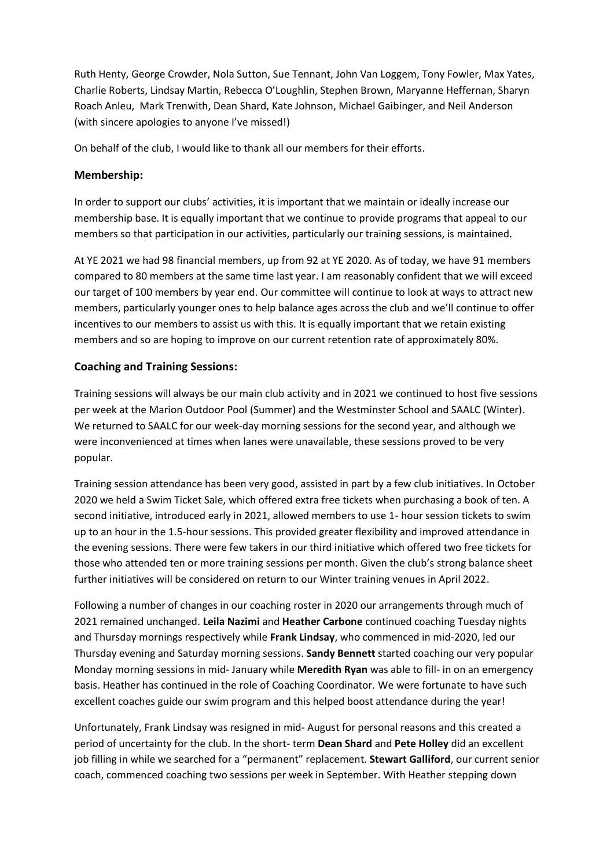Ruth Henty, George Crowder, Nola Sutton, Sue Tennant, John Van Loggem, Tony Fowler, Max Yates, Charlie Roberts, Lindsay Martin, Rebecca O'Loughlin, Stephen Brown, Maryanne Heffernan, Sharyn Roach Anleu, Mark Trenwith, Dean Shard, Kate Johnson, Michael Gaibinger, and Neil Anderson (with sincere apologies to anyone I've missed!)

On behalf of the club, I would like to thank all our members for their efforts.

#### **Membership:**

In order to support our clubs' activities, it is important that we maintain or ideally increase our membership base. It is equally important that we continue to provide programs that appeal to our members so that participation in our activities, particularly our training sessions, is maintained.

At YE 2021 we had 98 financial members, up from 92 at YE 2020. As of today, we have 91 members compared to 80 members at the same time last year. I am reasonably confident that we will exceed our target of 100 members by year end. Our committee will continue to look at ways to attract new members, particularly younger ones to help balance ages across the club and we'll continue to offer incentives to our members to assist us with this. It is equally important that we retain existing members and so are hoping to improve on our current retention rate of approximately 80%.

#### **Coaching and Training Sessions:**

Training sessions will always be our main club activity and in 2021 we continued to host five sessions per week at the Marion Outdoor Pool (Summer) and the Westminster School and SAALC (Winter). We returned to SAALC for our week-day morning sessions for the second year, and although we were inconvenienced at times when lanes were unavailable, these sessions proved to be very popular.

Training session attendance has been very good, assisted in part by a few club initiatives. In October 2020 we held a Swim Ticket Sale, which offered extra free tickets when purchasing a book of ten. A second initiative, introduced early in 2021, allowed members to use 1- hour session tickets to swim up to an hour in the 1.5-hour sessions. This provided greater flexibility and improved attendance in the evening sessions. There were few takers in our third initiative which offered two free tickets for those who attended ten or more training sessions per month. Given the club's strong balance sheet further initiatives will be considered on return to our Winter training venues in April 2022.

Following a number of changes in our coaching roster in 2020 our arrangements through much of 2021 remained unchanged. **Leila Nazimi** and **Heather Carbone** continued coaching Tuesday nights and Thursday mornings respectively while **Frank Lindsay**, who commenced in mid-2020, led our Thursday evening and Saturday morning sessions. **Sandy Bennett** started coaching our very popular Monday morning sessions in mid- January while **Meredith Ryan** was able to fill- in on an emergency basis. Heather has continued in the role of Coaching Coordinator. We were fortunate to have such excellent coaches guide our swim program and this helped boost attendance during the year!

Unfortunately, Frank Lindsay was resigned in mid- August for personal reasons and this created a period of uncertainty for the club. In the short- term **Dean Shard** and **Pete Holley** did an excellent job filling in while we searched for a "permanent" replacement. **Stewart Galliford**, our current senior coach, commenced coaching two sessions per week in September. With Heather stepping down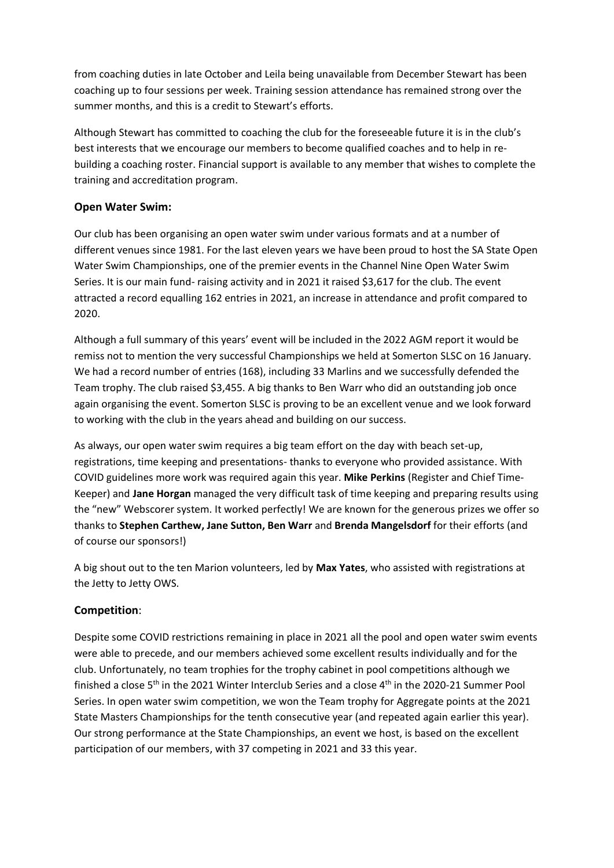from coaching duties in late October and Leila being unavailable from December Stewart has been coaching up to four sessions per week. Training session attendance has remained strong over the summer months, and this is a credit to Stewart's efforts.

Although Stewart has committed to coaching the club for the foreseeable future it is in the club's best interests that we encourage our members to become qualified coaches and to help in rebuilding a coaching roster. Financial support is available to any member that wishes to complete the training and accreditation program.

### **Open Water Swim:**

Our club has been organising an open water swim under various formats and at a number of different venues since 1981. For the last eleven years we have been proud to host the SA State Open Water Swim Championships, one of the premier events in the Channel Nine Open Water Swim Series. It is our main fund- raising activity and in 2021 it raised \$3,617 for the club. The event attracted a record equalling 162 entries in 2021, an increase in attendance and profit compared to 2020.

Although a full summary of this years' event will be included in the 2022 AGM report it would be remiss not to mention the very successful Championships we held at Somerton SLSC on 16 January. We had a record number of entries (168), including 33 Marlins and we successfully defended the Team trophy. The club raised \$3,455. A big thanks to Ben Warr who did an outstanding job once again organising the event. Somerton SLSC is proving to be an excellent venue and we look forward to working with the club in the years ahead and building on our success.

As always, our open water swim requires a big team effort on the day with beach set-up, registrations, time keeping and presentations- thanks to everyone who provided assistance. With COVID guidelines more work was required again this year. **Mike Perkins** (Register and Chief Time-Keeper) and **Jane Horgan** managed the very difficult task of time keeping and preparing results using the "new" Webscorer system. It worked perfectly! We are known for the generous prizes we offer so thanks to **Stephen Carthew, Jane Sutton, Ben Warr** and **Brenda Mangelsdorf** for their efforts (and of course our sponsors!)

A big shout out to the ten Marion volunteers, led by **Max Yates**, who assisted with registrations at the Jetty to Jetty OWS.

#### **Competition**:

Despite some COVID restrictions remaining in place in 2021 all the pool and open water swim events were able to precede, and our members achieved some excellent results individually and for the club. Unfortunately, no team trophies for the trophy cabinet in pool competitions although we finished a close 5<sup>th</sup> in the 2021 Winter Interclub Series and a close 4<sup>th</sup> in the 2020-21 Summer Pool Series. In open water swim competition, we won the Team trophy for Aggregate points at the 2021 State Masters Championships for the tenth consecutive year (and repeated again earlier this year). Our strong performance at the State Championships, an event we host, is based on the excellent participation of our members, with 37 competing in 2021 and 33 this year.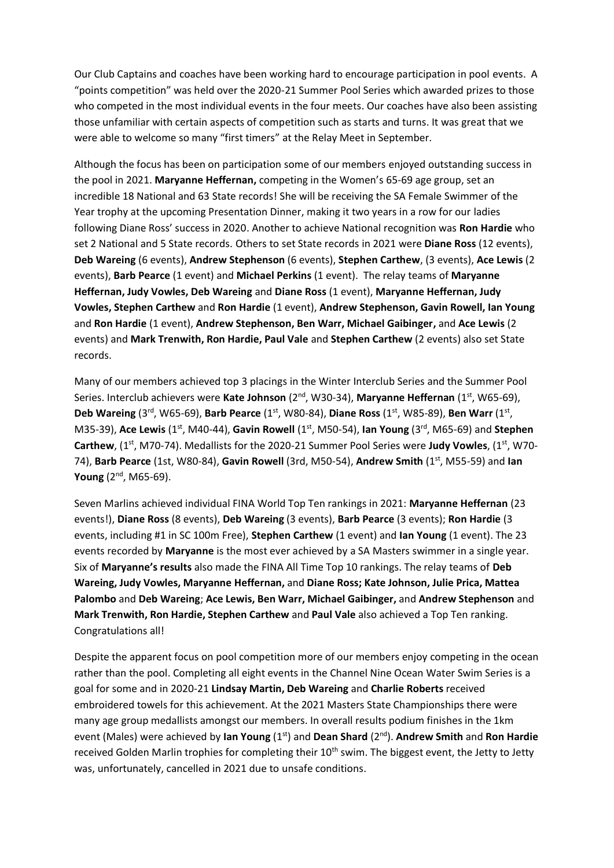Our Club Captains and coaches have been working hard to encourage participation in pool events. A "points competition" was held over the 2020-21 Summer Pool Series which awarded prizes to those who competed in the most individual events in the four meets. Our coaches have also been assisting those unfamiliar with certain aspects of competition such as starts and turns. It was great that we were able to welcome so many "first timers" at the Relay Meet in September.

Although the focus has been on participation some of our members enjoyed outstanding success in the pool in 2021. **Maryanne Heffernan,** competing in the Women's 65-69 age group, set an incredible 18 National and 63 State records! She will be receiving the SA Female Swimmer of the Year trophy at the upcoming Presentation Dinner, making it two years in a row for our ladies following Diane Ross' success in 2020. Another to achieve National recognition was **Ron Hardie** who set 2 National and 5 State records. Others to set State records in 2021 were **Diane Ross** (12 events), **Deb Wareing** (6 events), **Andrew Stephenson** (6 events), **Stephen Carthew**, (3 events), **Ace Lewis** (2 events), **Barb Pearce** (1 event) and **Michael Perkins** (1 event). The relay teams of **Maryanne Heffernan, Judy Vowles, Deb Wareing** and **Diane Ross** (1 event), **Maryanne Heffernan, Judy Vowles, Stephen Carthew** and **Ron Hardie** (1 event), **Andrew Stephenson, Gavin Rowell, Ian Young** and **Ron Hardie** (1 event), **Andrew Stephenson, Ben Warr, Michael Gaibinger,** and **Ace Lewis** (2 events) and **Mark Trenwith, Ron Hardie, Paul Vale** and **Stephen Carthew** (2 events) also set State records.

Many of our members achieved top 3 placings in the Winter Interclub Series and the Summer Pool Series. Interclub achievers were Kate Johnson (2<sup>nd</sup>, W30-34), Maryanne Heffernan (1<sup>st</sup>, W65-69), **Deb Wareing** (3<sup>rd</sup>, W65-69), Barb Pearce (1<sup>st</sup>, W80-84), Diane Ross (1<sup>st</sup>, W85-89), Ben Warr (1<sup>st</sup>, M35-39), Ace Lewis (1<sup>st</sup>, M40-44), Gavin Rowell (1<sup>st</sup>, M50-54), lan Young (3<sup>rd</sup>, M65-69) and Stephen **Carthew**, (1st, M70-74). Medallists for the 2020-21 Summer Pool Series were **Judy Vowles**, (1st, W70- 74), **Barb Pearce** (1st, W80-84), **Gavin Rowell** (3rd, M50-54), **Andrew Smith** (1st, M55-59) and **Ian Young** (2<sup>nd</sup>, M65-69).

Seven Marlins achieved individual FINA World Top Ten rankings in 2021: **Maryanne Heffernan** (23 events!), **Diane Ross** (8 events), **Deb Wareing** (3 events), **Barb Pearce** (3 events); **Ron Hardie** (3 events, including #1 in SC 100m Free), **Stephen Carthew** (1 event) and **Ian Young** (1 event). The 23 events recorded by **Maryanne** is the most ever achieved by a SA Masters swimmer in a single year. Six of **Maryanne's results** also made the FINA All Time Top 10 rankings. The relay teams of **Deb Wareing, Judy Vowles, Maryanne Heffernan,** and **Diane Ross; Kate Johnson, Julie Prica, Mattea Palombo** and **Deb Wareing**; **Ace Lewis, Ben Warr, Michael Gaibinger,** and **Andrew Stephenson** and **Mark Trenwith, Ron Hardie, Stephen Carthew** and **Paul Vale** also achieved a Top Ten ranking. Congratulations all!

Despite the apparent focus on pool competition more of our members enjoy competing in the ocean rather than the pool. Completing all eight events in the Channel Nine Ocean Water Swim Series is a goal for some and in 2020-21 **Lindsay Martin, Deb Wareing** and **Charlie Roberts** received embroidered towels for this achievement. At the 2021 Masters State Championships there were many age group medallists amongst our members. In overall results podium finishes in the 1km event (Males) were achieved by **Ian Young** (1<sup>st</sup>) and **Dean Shard** (2<sup>nd</sup>). **Andrew Smith** and **Ron Hardie** received Golden Marlin trophies for completing their 10<sup>th</sup> swim. The biggest event, the Jetty to Jetty was, unfortunately, cancelled in 2021 due to unsafe conditions.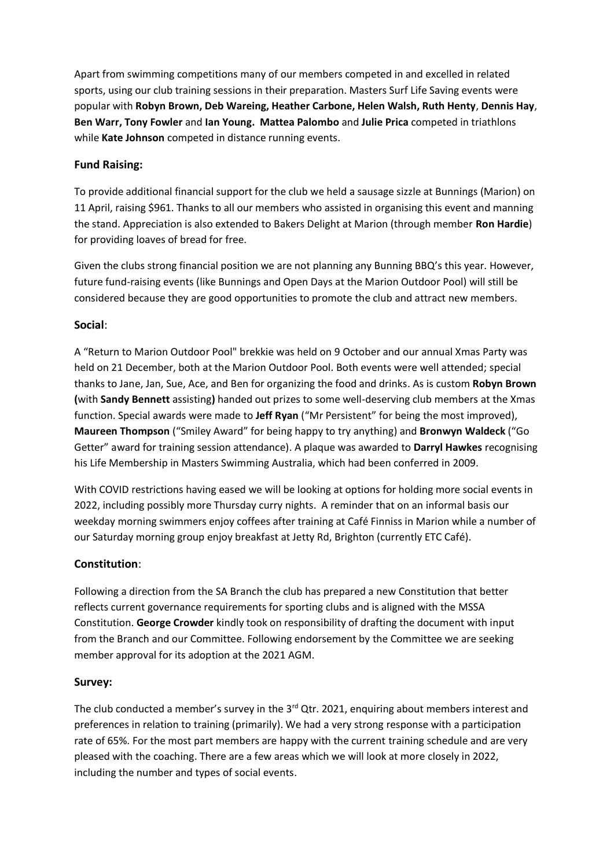Apart from swimming competitions many of our members competed in and excelled in related sports, using our club training sessions in their preparation. Masters Surf Life Saving events were popular with **Robyn Brown, Deb Wareing, Heather Carbone, Helen Walsh, Ruth Henty**, **Dennis Hay**, **Ben Warr, Tony Fowler** and **Ian Young. Mattea Palombo** and **Julie Prica** competed in triathlons while **Kate Johnson** competed in distance running events.

#### **Fund Raising:**

To provide additional financial support for the club we held a sausage sizzle at Bunnings (Marion) on 11 April, raising \$961. Thanks to all our members who assisted in organising this event and manning the stand. Appreciation is also extended to Bakers Delight at Marion (through member **Ron Hardie**) for providing loaves of bread for free.

Given the clubs strong financial position we are not planning any Bunning BBQ's this year. However, future fund-raising events (like Bunnings and Open Days at the Marion Outdoor Pool) will still be considered because they are good opportunities to promote the club and attract new members.

#### **Social**:

A "Return to Marion Outdoor Pool" brekkie was held on 9 October and our annual Xmas Party was held on 21 December, both at the Marion Outdoor Pool. Both events were well attended; special thanks to Jane, Jan, Sue, Ace, and Ben for organizing the food and drinks. As is custom **Robyn Brown (**with **Sandy Bennett** assisting**)** handed out prizes to some well-deserving club members at the Xmas function. Special awards were made to **Jeff Ryan** ("Mr Persistent" for being the most improved), **Maureen Thompson** ("Smiley Award" for being happy to try anything) and **Bronwyn Waldeck** ("Go Getter" award for training session attendance). A plaque was awarded to **Darryl Hawkes** recognising his Life Membership in Masters Swimming Australia, which had been conferred in 2009.

With COVID restrictions having eased we will be looking at options for holding more social events in 2022, including possibly more Thursday curry nights. A reminder that on an informal basis our weekday morning swimmers enjoy coffees after training at Café Finniss in Marion while a number of our Saturday morning group enjoy breakfast at Jetty Rd, Brighton (currently ETC Café).

#### **Constitution**:

Following a direction from the SA Branch the club has prepared a new Constitution that better reflects current governance requirements for sporting clubs and is aligned with the MSSA Constitution. **George Crowder** kindly took on responsibility of drafting the document with input from the Branch and our Committee. Following endorsement by the Committee we are seeking member approval for its adoption at the 2021 AGM.

#### **Survey:**

The club conducted a member's survey in the 3<sup>rd</sup> Qtr. 2021, enquiring about members interest and preferences in relation to training (primarily). We had a very strong response with a participation rate of 65%. For the most part members are happy with the current training schedule and are very pleased with the coaching. There are a few areas which we will look at more closely in 2022, including the number and types of social events.